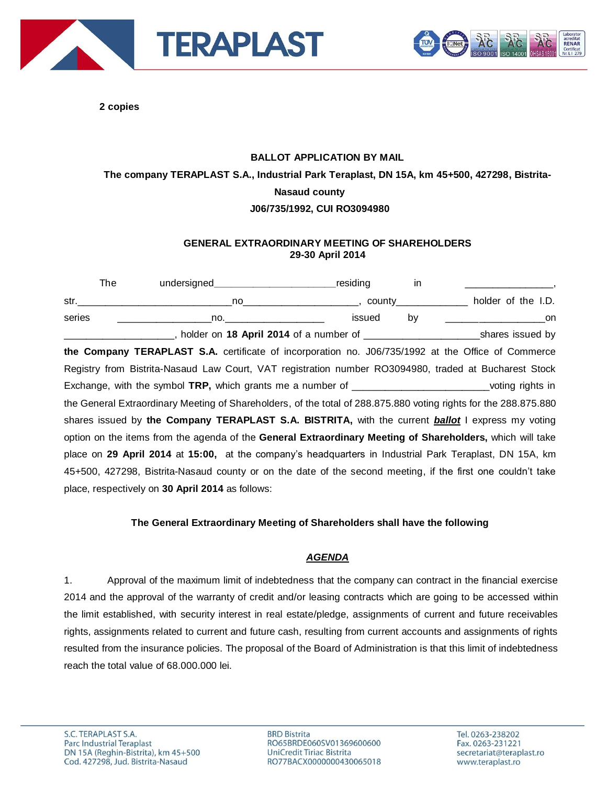



**2 copies**

## **BALLOT APPLICATION BY MAIL The company TERAPLAST S.A., Industrial Park Teraplast, DN 15A, km 45+500, 427298, Bistrita-Nasaud county J06/735/1992, CUI RO3094980**

## **GENERAL EXTRAORDINARY MEETING OF SHAREHOLDERS 29-30 April 2014**

The undersigned\_\_\_\_\_\_\_\_\_\_\_\_\_\_\_\_\_\_\_\_\_\_\_\_\_\_\_\_residing in str.\_\_\_\_\_\_\_\_\_\_\_\_\_\_\_\_\_\_\_\_\_\_\_\_\_\_\_\_no\_\_\_\_\_\_\_\_\_\_\_\_\_\_\_\_\_\_\_\_\_, county\_\_\_\_\_\_\_\_\_\_\_\_\_ holder of the I.D. series \_\_\_\_\_\_\_\_\_\_\_\_\_\_\_\_\_no.\_\_\_\_\_\_\_\_\_\_\_\_\_\_\_\_\_\_ issued by \_\_\_\_\_\_\_\_\_\_\_\_\_\_\_\_\_\_on \_\_\_\_\_\_\_\_\_\_\_\_\_\_\_\_\_\_\_\_, holder on **18 April 2014** of a number of \_\_\_\_\_\_\_\_\_\_\_\_\_\_\_\_\_\_\_\_\_shares issued by **the Company TERAPLAST S.A.** certificate of incorporation no. J06/735/1992 at the Office of Commerce Registry from Bistrita-Nasaud Law Court, VAT registration number RO3094980, traded at Bucharest Stock Exchange, with the symbol **TRP,** which grants me a number of \_\_\_\_\_\_\_\_\_\_\_\_\_\_\_\_\_\_\_\_\_\_\_\_\_voting rights in the General Extraordinary Meeting of Shareholders, of the total of 288.875.880 voting rights for the 288.875.880 shares issued by **the Company TERAPLAST S.A. BISTRITA,** with the current *ballot* I express my voting option on the items from the agenda of the **General Extraordinary Meeting of Shareholders,** which will take place on **29 April 2014** at **15:00,** at the company's headquarters in Industrial Park Teraplast, DN 15A, km 45+500, 427298, Bistrita-Nasaud county or on the date of the second meeting, if the first one couldn't take place, respectively on **30 April 2014** as follows:

## **The General Extraordinary Meeting of Shareholders shall have the following**

## *AGENDA*

1. Approval of the maximum limit of indebtedness that the company can contract in the financial exercise 2014 and the approval of the warranty of credit and/or leasing contracts which are going to be accessed within the limit established, with security interest in real estate/pledge, assignments of current and future receivables rights, assignments related to current and future cash, resulting from current accounts and assignments of rights resulted from the insurance policies. The proposal of the Board of Administration is that this limit of indebtedness reach the total value of 68.000.000 lei.

**BRD Bistrita** RO65BRDE060SV01369600600 UniCredit Tiriac Bistrita RO77BACX0000000430065018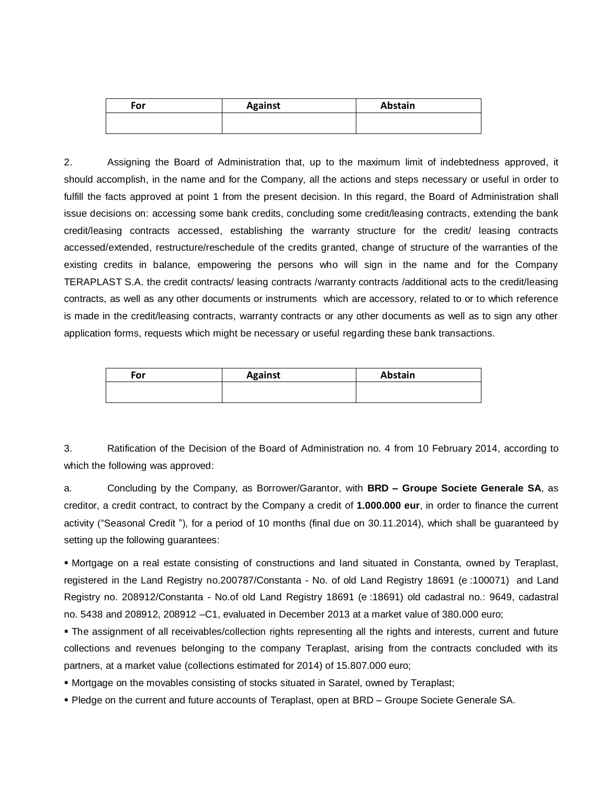| For | <b>Against</b> | Abstain |
|-----|----------------|---------|
|     |                |         |
|     |                |         |

2. Assigning the Board of Administration that, up to the maximum limit of indebtedness approved, it should accomplish, in the name and for the Company, all the actions and steps necessary or useful in order to fulfill the facts approved at point 1 from the present decision. In this regard, the Board of Administration shall issue decisions on: accessing some bank credits, concluding some credit/leasing contracts, extending the bank credit/leasing contracts accessed, establishing the warranty structure for the credit/ leasing contracts accessed/extended, restructure/reschedule of the credits granted, change of structure of the warranties of the existing credits in balance, empowering the persons who will sign in the name and for the Company TERAPLAST S.A. the credit contracts/ leasing contracts /warranty contracts /additional acts to the credit/leasing contracts, as well as any other documents or instruments which are accessory, related to or to which reference is made in the credit/leasing contracts, warranty contracts or any other documents as well as to sign any other application forms, requests which might be necessary or useful regarding these bank transactions.

| For | <b>Against</b> | Abstain |
|-----|----------------|---------|
|     |                |         |
|     |                |         |

3. Ratification of the Decision of the Board of Administration no. 4 from 10 February 2014, according to which the following was approved:

a. Concluding by the Company, as Borrower/Garantor, with **BRD – Groupe Societe Generale SA**, as creditor, a credit contract, to contract by the Company a credit of **1.000.000 eur**, in order to finance the current activity ("Seasonal Credit "), for a period of 10 months (final due on 30.11.2014), which shall be guaranteed by setting up the following guarantees:

 Mortgage on a real estate consisting of constructions and land situated in Constanta, owned by Teraplast, registered in the Land Registry no.200787/Constanta - No. of old Land Registry 18691 (e :100071) and Land Registry no. 208912/Constanta - No.of old Land Registry 18691 (e :18691) old cadastral no.: 9649, cadastral no. 5438 and 208912, 208912 –C1, evaluated in December 2013 at a market value of 380.000 euro;

 The assignment of all receivables/collection rights representing all the rights and interests, current and future collections and revenues belonging to the company Teraplast, arising from the contracts concluded with its partners, at a market value (collections estimated for 2014) of 15.807.000 euro;

Mortgage on the movables consisting of stocks situated in Saratel, owned by Teraplast;

Pledge on the current and future accounts of Teraplast, open at BRD – Groupe Societe Generale SA.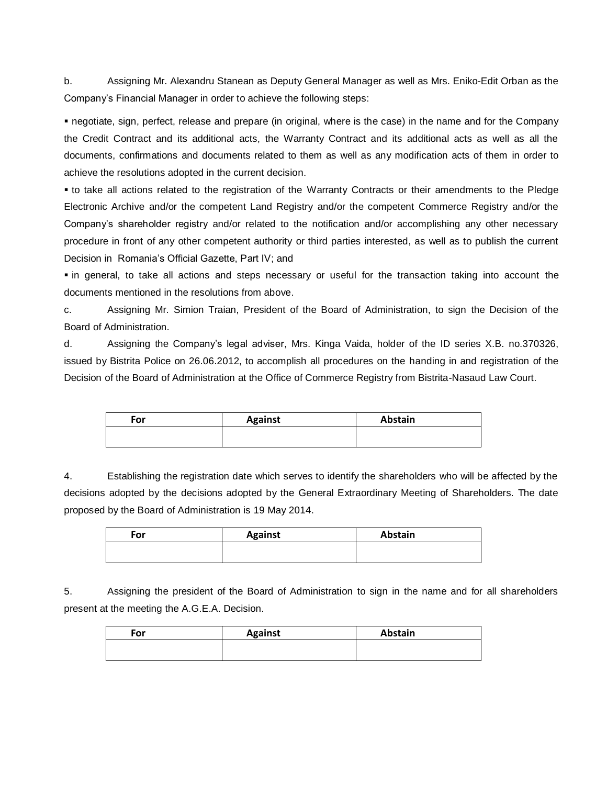b. Assigning Mr. Alexandru Stanean as Deputy General Manager as well as Mrs. Eniko-Edit Orban as the Company's Financial Manager in order to achieve the following steps:

 negotiate, sign, perfect, release and prepare (in original, where is the case) in the name and for the Company the Credit Contract and its additional acts, the Warranty Contract and its additional acts as well as all the documents, confirmations and documents related to them as well as any modification acts of them in order to achieve the resolutions adopted in the current decision.

 to take all actions related to the registration of the Warranty Contracts or their amendments to the Pledge Electronic Archive and/or the competent Land Registry and/or the competent Commerce Registry and/or the Company's shareholder registry and/or related to the notification and/or accomplishing any other necessary procedure in front of any other competent authority or third parties interested, as well as to publish the current Decision in Romania's Official Gazette, Part IV; and

 in general, to take all actions and steps necessary or useful for the transaction taking into account the documents mentioned in the resolutions from above.

c. Assigning Mr. Simion Traian, President of the Board of Administration, to sign the Decision of the Board of Administration.

d. Assigning the Company's legal adviser, Mrs. Kinga Vaida, holder of the ID series X.B. no.370326, issued by Bistrita Police on 26.06.2012, to accomplish all procedures on the handing in and registration of the Decision of the Board of Administration at the Office of Commerce Registry from Bistrita-Nasaud Law Court.

| For | <b>Against</b> | Abstain |
|-----|----------------|---------|
|     |                |         |
|     |                |         |

4. Establishing the registration date which serves to identify the shareholders who will be affected by the decisions adopted by the decisions adopted by the General Extraordinary Meeting of Shareholders. The date proposed by the Board of Administration is 19 May 2014.

| For | <b>Against</b> | Abstain |
|-----|----------------|---------|
|     |                |         |

5. Assigning the president of the Board of Administration to sign in the name and for all shareholders present at the meeting the A.G.E.A. Decision.

| For | <b>Against</b> | Abstain |
|-----|----------------|---------|
|     |                |         |
|     |                |         |